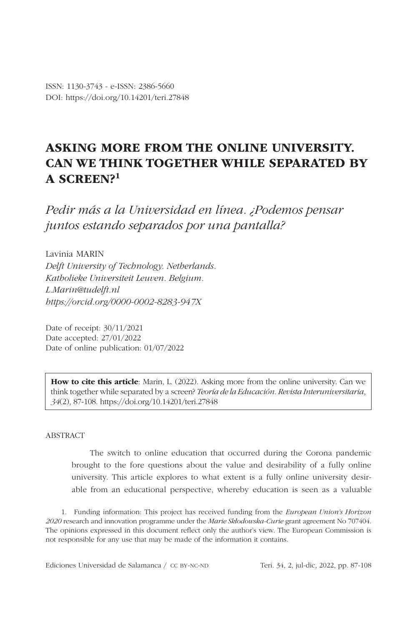ISSN: 1130-3743 - e-ISSN: 2386-5660 DOI: [https://doi.org/10.14201/teri.2784](https://doi.org/10.14201/teri.27848)8

# ASKING MORE FROM THE ONLINE UNIVERSITY. CAN WE THINK TOGETHER WHILE SEPARATED BY A SCREEN?1

*Pedir más a la Universidad en línea. ¿Podemos pensar juntos estando separados por una pantalla?*

Lavinia MARIN *Delft University of Technology. Netherlands. Katholieke Universiteit Leuven. Belgium. L.Marin@tudelft.nl <https://orcid.org/0000-0002-8283-947X>*

Date of receipt: 30/11/2021 Date accepted: 27/01/2022 Date of online publication: 01/07/2022

How to cite this article: Marin, L. (2022). Asking more from the online university. Can we think together while separated by a screen? *Teoría de la Educación. Revista Interuniversitaria*, *34*(2), 87-108.<https://doi.org/10.14201/teri.27848>

### ABSTRACT

The switch to online education that occurred during the Corona pandemic brought to the fore questions about the value and desirability of a fully online university. This article explores to what extent is a fully online university desirable from an educational perspective, whereby education is seen as a valuable

1. Funding information: This project has received funding from the *European Union's Horizon 2020* research and innovation programme under the *Marie Skłodowska-Curie* grant agreement No 707404. The opinions expressed in this document reflect only the author's view. The European Commission is not responsible for any use that may be made of the information it contains.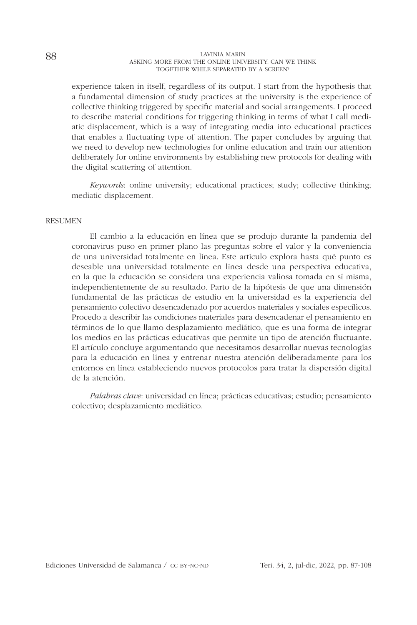experience taken in itself, regardless of its output. I start from the hypothesis that a fundamental dimension of study practices at the university is the experience of collective thinking triggered by specific material and social arrangements. I proceed to describe material conditions for triggering thinking in terms of what I call mediatic displacement, which is a way of integrating media into educational practices that enables a fluctuating type of attention. The paper concludes by arguing that we need to develop new technologies for online education and train our attention deliberately for online environments by establishing new protocols for dealing with the digital scattering of attention.

*Keywords*: online university; educational practices; study; collective thinking; mediatic displacement.

### **RESUMEN**

El cambio a la educación en línea que se produjo durante la pandemia del coronavirus puso en primer plano las preguntas sobre el valor y la conveniencia de una universidad totalmente en línea. Este artículo explora hasta qué punto es deseable una universidad totalmente en línea desde una perspectiva educativa, en la que la educación se considera una experiencia valiosa tomada en sí misma, independientemente de su resultado. Parto de la hipótesis de que una dimensión fundamental de las prácticas de estudio en la universidad es la experiencia del pensamiento colectivo desencadenado por acuerdos materiales y sociales específicos. Procedo a describir las condiciones materiales para desencadenar el pensamiento en términos de lo que llamo desplazamiento mediático, que es una forma de integrar los medios en las prácticas educativas que permite un tipo de atención fluctuante. El artículo concluye argumentando que necesitamos desarrollar nuevas tecnologías para la educación en línea y entrenar nuestra atención deliberadamente para los entornos en línea estableciendo nuevos protocolos para tratar la dispersión digital de la atención.

*Palabras clave*: universidad en línea; prácticas educativas; estudio; pensamiento colectivo; desplazamiento mediático.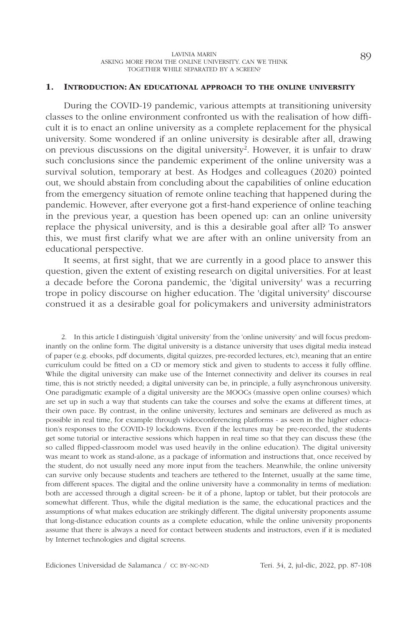### 1. Introduction: An educational approach to the online university

During the COVID-19 pandemic, various attempts at transitioning university classes to the online environment confronted us with the realisation of how difficult it is to enact an online university as a complete replacement for the physical university. Some wondered if an online university is desirable after all, drawing on previous discussions on the digital university<sup>2</sup>. However, it is unfair to draw such conclusions since the pandemic experiment of the online university was a survival solution, temporary at best. As Hodges and colleagues (2020) pointed out, we should abstain from concluding about the capabilities of online education from the emergency situation of remote online teaching that happened during the pandemic. However, after everyone got a first-hand experience of online teaching in the previous year, a question has been opened up: can an online university replace the physical university, and is this a desirable goal after all? To answer this, we must first clarify what we are after with an online university from an educational perspective.

It seems, at first sight, that we are currently in a good place to answer this question, given the extent of existing research on digital universities. For at least a decade before the Corona pandemic, the 'digital university' was a recurring trope in policy discourse on higher education. The 'digital university' discourse construed it as a desirable goal for policymakers and university administrators

2. In this article I distinguish 'digital university' from the 'online university' and will focus predominantly on the online form. The digital university is a distance university that uses digital media instead of paper (e.g. ebooks, pdf documents, digital quizzes, pre-recorded lectures, etc), meaning that an entire curriculum could be fitted on a CD or memory stick and given to students to access it fully offline. While the digital university can make use of the Internet connectivity and deliver its courses in real time, this is not strictly needed; a digital university can be, in principle, a fully asynchronous university. One paradigmatic example of a digital university are the MOOCs (massive open online courses) which are set up in such a way that students can take the courses and solve the exams at different times, at their own pace. By contrast, in the online university, lectures and seminars are delivered as much as possible in real time, for example through videoconferencing platforms - as seen in the higher education's responses to the COVID-19 lockdowns. Even if the lectures may be pre-recorded, the students get some tutorial or interactive sessions which happen in real time so that they can discuss these (the so called flipped-classroom model was used heavily in the online education). The digital university was meant to work as stand-alone, as a package of information and instructions that, once received by the student, do not usually need any more input from the teachers. Meanwhile, the online university can survive only because students and teachers are tethered to the Internet, usually at the same time, from different spaces. The digital and the online university have a commonality in terms of mediation: both are accessed through a digital screen- be it of a phone, laptop or tablet, but their protocols are somewhat different. Thus, while the digital mediation is the same, the educational practices and the assumptions of what makes education are strikingly different. The digital university proponents assume that long-distance education counts as a complete education, while the online university proponents assume that there is always a need for contact between students and instructors, even if it is mediated by Internet technologies and digital screens.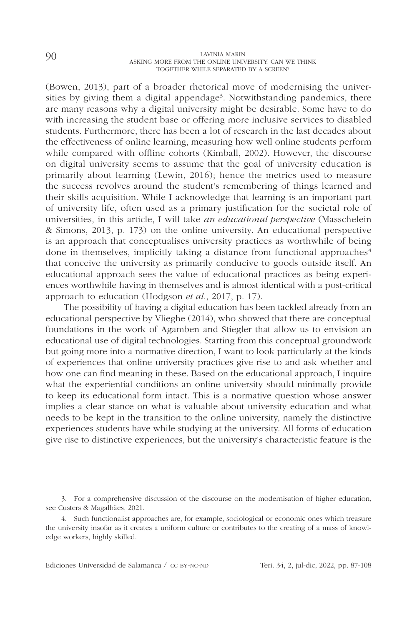(Bowen, 2013), part of a broader rhetorical move of modernising the universities by giving them a digital appendage<sup>3</sup>. Notwithstanding pandemics, there are many reasons why a digital university might be desirable. Some have to do with increasing the student base or offering more inclusive services to disabled students. Furthermore, there has been a lot of research in the last decades about the effectiveness of online learning, measuring how well online students perform while compared with offline cohorts (Kimball, 2002). However, the discourse on digital university seems to assume that the goal of university education is primarily about learning (Lewin, 2016); hence the metrics used to measure the success revolves around the student's remembering of things learned and their skills acquisition. While I acknowledge that learning is an important part of university life, often used as a primary justification for the societal role of universities, in this article, I will take *an educational perspective* (Masschelein & Simons, 2013, p. 173) on the online university. An educational perspective is an approach that conceptualises university practices as worthwhile of being done in themselves, implicitly taking a distance from functional approaches<sup>4</sup> that conceive the university as primarily conducive to goods outside itself. An educational approach sees the value of educational practices as being experiences worthwhile having in themselves and is almost identical with a post-critical approach to education (Hodgson *et al*., 2017, p. 17).

The possibility of having a digital education has been tackled already from an educational perspective by Vlieghe (2014), who showed that there are conceptual foundations in the work of Agamben and Stiegler that allow us to envision an educational use of digital technologies. Starting from this conceptual groundwork but going more into a normative direction, I want to look particularly at the kinds of experiences that online university practices give rise to and ask whether and how one can find meaning in these. Based on the educational approach, I inquire what the experiential conditions an online university should minimally provide to keep its educational form intact. This is a normative question whose answer implies a clear stance on what is valuable about university education and what needs to be kept in the transition to the online university, namely the distinctive experiences students have while studying at the university. All forms of education give rise to distinctive experiences, but the university's characteristic feature is the

3. For a comprehensive discussion of the discourse on the modernisation of higher education, see Custers & Magalhães, 2021.

4. Such functionalist approaches are, for example, sociological or economic ones which treasure the university insofar as it creates a uniform culture or contributes to the creating of a mass of knowledge workers, highly skilled.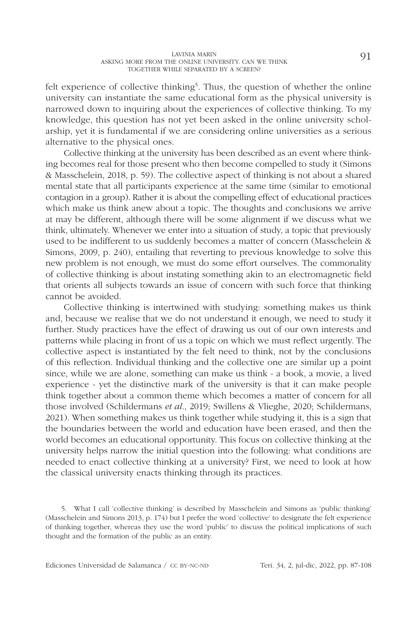felt experience of collective thinking<sup>5</sup>. Thus, the question of whether the online university can instantiate the same educational form as the physical university is narrowed down to inquiring about the experiences of collective thinking. To my knowledge, this question has not yet been asked in the online university scholarship, yet it is fundamental if we are considering online universities as a serious alternative to the physical ones.

Collective thinking at the university has been described as an event where thinking becomes real for those present who then become compelled to study it (Simons & Masschelein, 2018, p. 59). The collective aspect of thinking is not about a shared mental state that all participants experience at the same time (similar to emotional contagion in a group). Rather it is about the compelling effect of educational practices which make us think anew about a topic. The thoughts and conclusions we arrive at may be different, although there will be some alignment if we discuss what we think, ultimately. Whenever we enter into a situation of study, a topic that previously used to be indifferent to us suddenly becomes a matter of concern (Masschelein & Simons, 2009, p. 240), entailing that reverting to previous knowledge to solve this new problem is not enough, we must do some effort ourselves. The commonality of collective thinking is about instating something akin to an electromagnetic field that orients all subjects towards an issue of concern with such force that thinking cannot be avoided.

Collective thinking is intertwined with studying: something makes us think and, because we realise that we do not understand it enough, we need to study it further. Study practices have the effect of drawing us out of our own interests and patterns while placing in front of us a topic on which we must reflect urgently. The collective aspect is instantiated by the felt need to think, not by the conclusions of this reflection. Individual thinking and the collective one are similar up a point since, while we are alone, something can make us think - a book, a movie, a lived experience - yet the distinctive mark of the university is that it can make people think together about a common theme which becomes a matter of concern for all those involved (Schildermans *et al*., 2019; Swillens & Vlieghe, 2020; Schildermans, 2021). When something makes us think together while studying it, this is a sign that the boundaries between the world and education have been erased, and then the world becomes an educational opportunity. This focus on collective thinking at the university helps narrow the initial question into the following: what conditions are needed to enact collective thinking at a university? First, we need to look at how the classical university enacts thinking through its practices.

5. What I call 'collective thinking' is described by Masschelein and Simons as 'public thinking' (Masschelein and Simons 2013, p. 174) but I prefer the word 'collective' to designate the felt experience of thinking together, whereas they use the word 'public' to discuss the political implications of such thought and the formation of the public as an entity.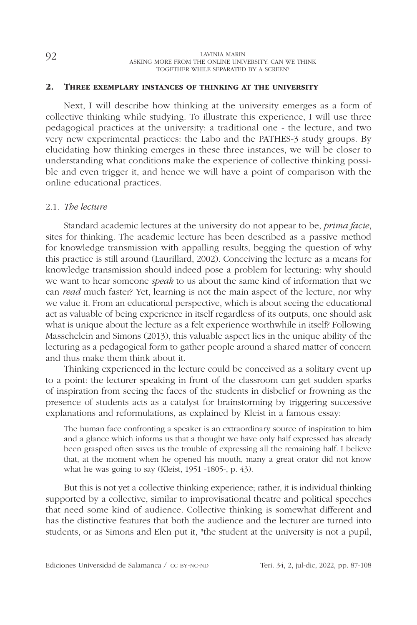### 2. Three exemplary instances of thinking at the university

Next, I will describe how thinking at the university emerges as a form of collective thinking while studying. To illustrate this experience, I will use three pedagogical practices at the university: a traditional one - the lecture, and two very new experimental practices: the Labo and the PATHES-3 study groups. By elucidating how thinking emerges in these three instances, we will be closer to understanding what conditions make the experience of collective thinking possible and even trigger it, and hence we will have a point of comparison with the online educational practices.

### 2.1. *The lecture*

92

Standard academic lectures at the university do not appear to be, *prima facie*, sites for thinking. The academic lecture has been described as a passive method for knowledge transmission with appalling results, begging the question of why this practice is still around (Laurillard, 2002). Conceiving the lecture as a means for knowledge transmission should indeed pose a problem for lecturing: why should we want to hear someone *speak* to us about the same kind of information that we can *read* much faster? Yet, learning is not the main aspect of the lecture, nor why we value it. From an educational perspective, which is about seeing the educational act as valuable of being experience in itself regardless of its outputs, one should ask what is unique about the lecture as a felt experience worthwhile in itself? Following Masschelein and Simons (2013), this valuable aspect lies in the unique ability of the lecturing as a pedagogical form to gather people around a shared matter of concern and thus make them think about it.

Thinking experienced in the lecture could be conceived as a solitary event up to a point: the lecturer speaking in front of the classroom can get sudden sparks of inspiration from seeing the faces of the students in disbelief or frowning as the presence of students acts as a catalyst for brainstorming by triggering successive explanations and reformulations, as explained by Kleist in a famous essay:

The human face confronting a speaker is an extraordinary source of inspiration to him and a glance which informs us that a thought we have only half expressed has already been grasped often saves us the trouble of expressing all the remaining half. I believe that, at the moment when he opened his mouth, many a great orator did not know what he was going to say (Kleist, 1951 -1805-, p. 43).

But this is not yet a collective thinking experience; rather, it is individual thinking supported by a collective, similar to improvisational theatre and political speeches that need some kind of audience. Collective thinking is somewhat different and has the distinctive features that both the audience and the lecturer are turned into students, or as Simons and Elen put it, "the student at the university is not a pupil,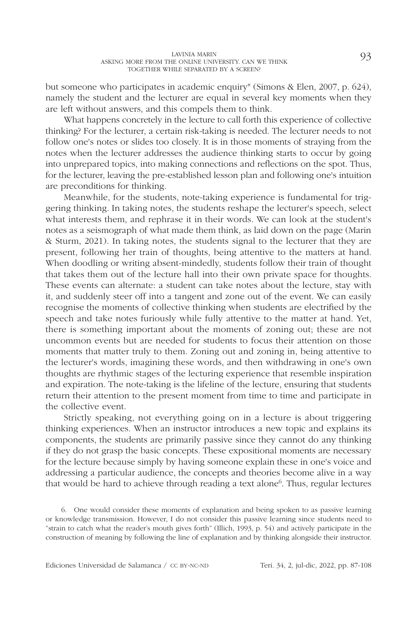but someone who participates in academic enquiry" (Simons & Elen, 2007, p. 624), namely the student and the lecturer are equal in several key moments when they are left without answers, and this compels them to think.

What happens concretely in the lecture to call forth this experience of collective thinking? For the lecturer, a certain risk-taking is needed. The lecturer needs to not follow one's notes or slides too closely. It is in those moments of straying from the notes when the lecturer addresses the audience thinking starts to occur by going into unprepared topics, into making connections and reflections on the spot. Thus, for the lecturer, leaving the pre-established lesson plan and following one's intuition are preconditions for thinking.

Meanwhile, for the students, note-taking experience is fundamental for triggering thinking. In taking notes, the students reshape the lecturer's speech, select what interests them, and rephrase it in their words. We can look at the student's notes as a seismograph of what made them think, as laid down on the page (Marin & Sturm, 2021). In taking notes, the students signal to the lecturer that they are present, following her train of thoughts, being attentive to the matters at hand. When doodling or writing absent-mindedly, students follow their train of thought that takes them out of the lecture hall into their own private space for thoughts. These events can alternate: a student can take notes about the lecture, stay with it, and suddenly steer off into a tangent and zone out of the event. We can easily recognise the moments of collective thinking when students are electrified by the speech and take notes furiously while fully attentive to the matter at hand. Yet, there is something important about the moments of zoning out; these are not uncommon events but are needed for students to focus their attention on those moments that matter truly to them. Zoning out and zoning in, being attentive to the lecturer's words, imagining these words, and then withdrawing in one's own thoughts are rhythmic stages of the lecturing experience that resemble inspiration and expiration. The note-taking is the lifeline of the lecture, ensuring that students return their attention to the present moment from time to time and participate in the collective event.

Strictly speaking, not everything going on in a lecture is about triggering thinking experiences. When an instructor introduces a new topic and explains its components, the students are primarily passive since they cannot do any thinking if they do not grasp the basic concepts. These expositional moments are necessary for the lecture because simply by having someone explain these in one's voice and addressing a particular audience, the concepts and theories become alive in a way that would be hard to achieve through reading a text alone<sup>6</sup>. Thus, regular lectures

6. One would consider these moments of explanation and being spoken to as passive learning or knowledge transmission. However, I do not consider this passive learning since students need to "strain to catch what the reader's mouth gives forth" (Illich, 1993, p. 54) and actively participate in the construction of meaning by following the line of explanation and by thinking alongside their instructor.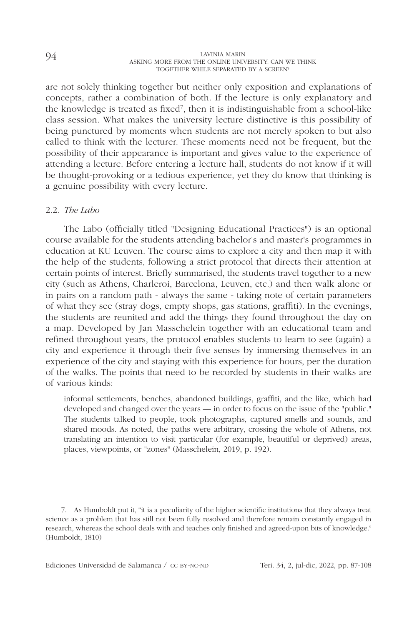are not solely thinking together but neither only exposition and explanations of concepts, rather a combination of both. If the lecture is only explanatory and the knowledge is treated as fixed7, then it is indistinguishable from a school-like class session. What makes the university lecture distinctive is this possibility of being punctured by moments when students are not merely spoken to but also called to think with the lecturer. These moments need not be frequent, but the possibility of their appearance is important and gives value to the experience of attending a lecture. Before entering a lecture hall, students do not know if it will be thought-provoking or a tedious experience, yet they do know that thinking is a genuine possibility with every lecture.

### 2.2. *The Labo*

The Labo (officially titled "Designing Educational Practices") is an optional course available for the students attending bachelor's and master's programmes in education at KU Leuven. The course aims to explore a city and then map it with the help of the students, following a strict protocol that directs their attention at certain points of interest. Briefly summarised, the students travel together to a new city (such as Athens, Charleroi, Barcelona, Leuven, etc.) and then walk alone or in pairs on a random path - always the same - taking note of certain parameters of what they see (stray dogs, empty shops, gas stations, graffiti). In the evenings, the students are reunited and add the things they found throughout the day on a map. Developed by Jan Masschelein together with an educational team and refined throughout years, the protocol enables students to learn to see (again) a city and experience it through their five senses by immersing themselves in an experience of the city and staying with this experience for hours, per the duration of the walks. The points that need to be recorded by students in their walks are of various kinds:

informal settlements, benches, abandoned buildings, graffiti, and the like, which had developed and changed over the years — in order to focus on the issue of the "public." The students talked to people, took photographs, captured smells and sounds, and shared moods. As noted, the paths were arbitrary, crossing the whole of Athens, not translating an intention to visit particular (for example, beautiful or deprived) areas, places, viewpoints, or "zones" (Masschelein, 2019, p. 192).

7. As Humboldt put it, "it is a peculiarity of the higher scientific institutions that they always treat science as a problem that has still not been fully resolved and therefore remain constantly engaged in research, whereas the school deals with and teaches only finished and agreed-upon bits of knowledge." (Humboldt, 1810)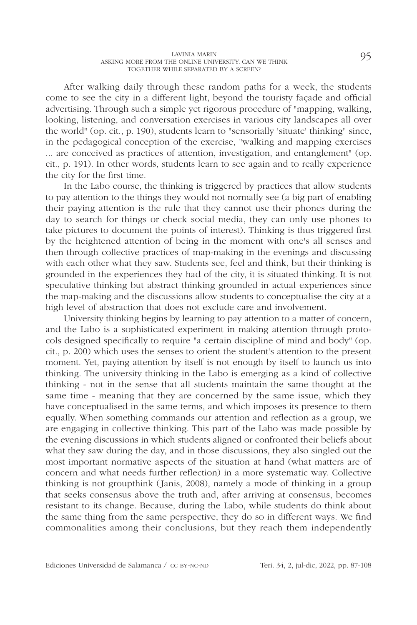After walking daily through these random paths for a week, the students come to see the city in a different light, beyond the touristy façade and official advertising. Through such a simple yet rigorous procedure of "mapping, walking, looking, listening, and conversation exercises in various city landscapes all over the world" (op. cit., p. 190), students learn to "sensorially 'situate' thinking" since, in the pedagogical conception of the exercise, "walking and mapping exercises ... are conceived as practices of attention, investigation, and entanglement" (op. cit., p. 191). In other words, students learn to see again and to really experience the city for the first time.

In the Labo course, the thinking is triggered by practices that allow students to pay attention to the things they would not normally see (a big part of enabling their paying attention is the rule that they cannot use their phones during the day to search for things or check social media, they can only use phones to take pictures to document the points of interest). Thinking is thus triggered first by the heightened attention of being in the moment with one's all senses and then through collective practices of map-making in the evenings and discussing with each other what they saw. Students see, feel and think, but their thinking is grounded in the experiences they had of the city, it is situated thinking. It is not speculative thinking but abstract thinking grounded in actual experiences since the map-making and the discussions allow students to conceptualise the city at a high level of abstraction that does not exclude care and involvement.

University thinking begins by learning to pay attention to a matter of concern, and the Labo is a sophisticated experiment in making attention through protocols designed specifically to require "a certain discipline of mind and body" (op. cit., p. 200) which uses the senses to orient the student's attention to the present moment. Yet, paying attention by itself is not enough by itself to launch us into thinking. The university thinking in the Labo is emerging as a kind of collective thinking - not in the sense that all students maintain the same thought at the same time - meaning that they are concerned by the same issue, which they have conceptualised in the same terms, and which imposes its presence to them equally. When something commands our attention and reflection as a group, we are engaging in collective thinking. This part of the Labo was made possible by the evening discussions in which students aligned or confronted their beliefs about what they saw during the day, and in those discussions, they also singled out the most important normative aspects of the situation at hand (what matters are of concern and what needs further reflection) in a more systematic way. Collective thinking is not groupthink (Janis, 2008), namely a mode of thinking in a group that seeks consensus above the truth and, after arriving at consensus, becomes resistant to its change. Because, during the Labo, while students do think about the same thing from the same perspective, they do so in different ways. We find commonalities among their conclusions, but they reach them independently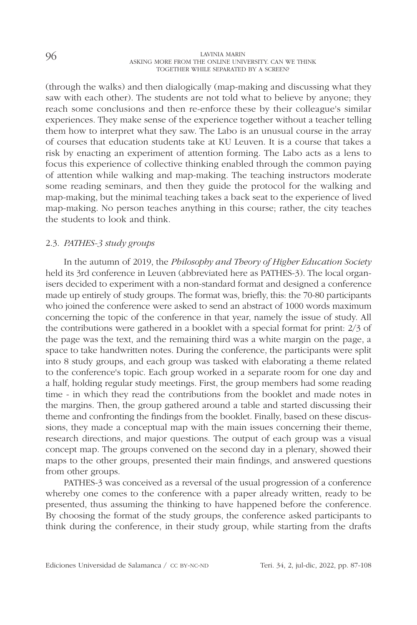(through the walks) and then dialogically (map-making and discussing what they saw with each other). The students are not told what to believe by anyone; they reach some conclusions and then re-enforce these by their colleague's similar experiences. They make sense of the experience together without a teacher telling them how to interpret what they saw. The Labo is an unusual course in the array of courses that education students take at KU Leuven. It is a course that takes a risk by enacting an experiment of attention forming. The Labo acts as a lens to focus this experience of collective thinking enabled through the common paying of attention while walking and map-making. The teaching instructors moderate some reading seminars, and then they guide the protocol for the walking and map-making, but the minimal teaching takes a back seat to the experience of lived map-making. No person teaches anything in this course; rather, the city teaches the students to look and think.

# 2.3. *PATHES-3 study groups*

In the autumn of 2019, the *Philosophy and Theory of Higher Education Society* held its 3rd conference in Leuven (abbreviated here as PATHES-3). The local organisers decided to experiment with a non-standard format and designed a conference made up entirely of study groups. The format was, briefly, this: the 70-80 participants who joined the conference were asked to send an abstract of 1000 words maximum concerning the topic of the conference in that year, namely the issue of study. All the contributions were gathered in a booklet with a special format for print: 2/3 of the page was the text, and the remaining third was a white margin on the page, a space to take handwritten notes. During the conference, the participants were split into 8 study groups, and each group was tasked with elaborating a theme related to the conference's topic. Each group worked in a separate room for one day and a half, holding regular study meetings. First, the group members had some reading time - in which they read the contributions from the booklet and made notes in the margins. Then, the group gathered around a table and started discussing their theme and confronting the findings from the booklet. Finally, based on these discussions, they made a conceptual map with the main issues concerning their theme, research directions, and major questions. The output of each group was a visual concept map. The groups convened on the second day in a plenary, showed their maps to the other groups, presented their main findings, and answered questions from other groups.

PATHES-3 was conceived as a reversal of the usual progression of a conference whereby one comes to the conference with a paper already written, ready to be presented, thus assuming the thinking to have happened before the conference. By choosing the format of the study groups, the conference asked participants to think during the conference, in their study group, while starting from the drafts

96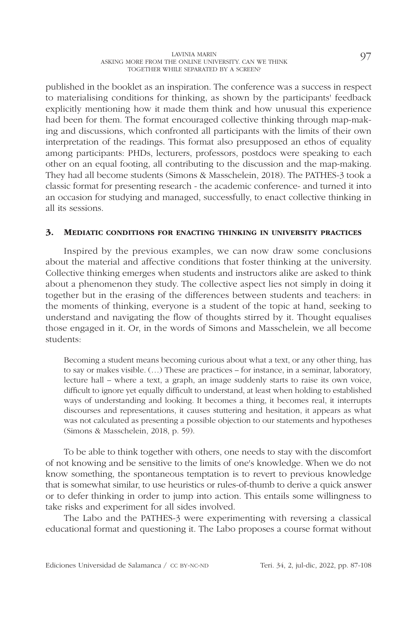published in the booklet as an inspiration. The conference was a success in respect to materialising conditions for thinking, as shown by the participants' feedback explicitly mentioning how it made them think and how unusual this experience had been for them. The format encouraged collective thinking through map-making and discussions, which confronted all participants with the limits of their own interpretation of the readings. This format also presupposed an ethos of equality among participants: PHDs, lecturers, professors, postdocs were speaking to each other on an equal footing, all contributing to the discussion and the map-making. They had all become students (Simons & Masschelein, 2018). The PATHES-3 took a classic format for presenting research - the academic conference- and turned it into an occasion for studying and managed, successfully, to enact collective thinking in all its sessions.

### 3. Mediatic conditions for enacting thinking in university practices

Inspired by the previous examples, we can now draw some conclusions about the material and affective conditions that foster thinking at the university. Collective thinking emerges when students and instructors alike are asked to think about a phenomenon they study. The collective aspect lies not simply in doing it together but in the erasing of the differences between students and teachers: in the moments of thinking, everyone is a student of the topic at hand, seeking to understand and navigating the flow of thoughts stirred by it. Thought equalises those engaged in it. Or, in the words of Simons and Masschelein, we all become students:

Becoming a student means becoming curious about what a text, or any other thing, has to say or makes visible. (…) These are practices – for instance, in a seminar, laboratory, lecture hall – where a text, a graph, an image suddenly starts to raise its own voice, difficult to ignore yet equally difficult to understand, at least when holding to established ways of understanding and looking. It becomes a thing, it becomes real, it interrupts discourses and representations, it causes stuttering and hesitation, it appears as what was not calculated as presenting a possible objection to our statements and hypotheses (Simons & Masschelein, 2018, p. 59).

To be able to think together with others, one needs to stay with the discomfort of not knowing and be sensitive to the limits of one's knowledge. When we do not know something, the spontaneous temptation is to revert to previous knowledge that is somewhat similar, to use heuristics or rules-of-thumb to derive a quick answer or to defer thinking in order to jump into action. This entails some willingness to take risks and experiment for all sides involved.

The Labo and the PATHES-3 were experimenting with reversing a classical educational format and questioning it. The Labo proposes a course format without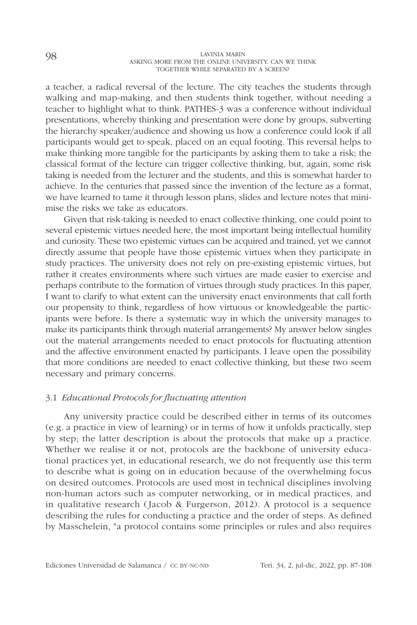a teacher, a radical reversal of the lecture. The city teaches the students through walking and map-making, and then students think together, without needing a teacher to highlight what to think. PATHES-3 was a conference without individual presentations, whereby thinking and presentation were done by groups, subverting the hierarchy speaker/audience and showing us how a conference could look if all participants would get to speak, placed on an equal footing. This reversal helps to make thinking more tangible for the participants by asking them to take a risk; the classical format of the lecture can trigger collective thinking, but, again, some risk taking is needed from the lecturer and the students, and this is somewhat harder to achieve. In the centuries that passed since the invention of the lecture as a format, we have learned to tame it through lesson plans, slides and lecture notes that minimise the risks we take as educators.

Given that risk-taking is needed to enact collective thinking, one could point to several epistemic virtues needed here, the most important being intellectual humility and curiosity. These two epistemic virtues can be acquired and trained, yet we cannot directly assume that people have those epistemic virtues when they participate in study practices. The university does not rely on pre-existing epistemic virtues, but rather it creates environments where such virtues are made easier to exercise and perhaps contribute to the formation of virtues through study practices. In this paper, I want to clarify to what extent can the university enact environments that call forth our propensity to think, regardless of how virtuous or knowledgeable the participants were before. Is there a systematic way in which the university manages to make its participants think through material arrangements? My answer below singles out the material arrangements needed to enact protocols for fluctuating attention and the affective environment enacted by participants. I leave open the possibility that more conditions are needed to enact collective thinking, but these two seem necessary and primary concerns.

### 3.1 *Educational Protocols for fluctuating attention*

Any university practice could be described either in terms of its outcomes (e.g. a practice in view of learning) or in terms of how it unfolds practically, step by step; the latter description is about the protocols that make up a practice. Whether we realise it or not, protocols are the backbone of university educational practices yet, in educational research, we do not frequently use this term to describe what is going on in education because of the overwhelming focus on desired outcomes. Protocols are used most in technical disciplines involving non-human actors such as computer networking, or in medical practices, and in qualitative research (Jacob & Furgerson, 2012). A protocol is a sequence describing the rules for conducting a practice and the order of steps. As defined by Masschelein, "a protocol contains some principles or rules and also requires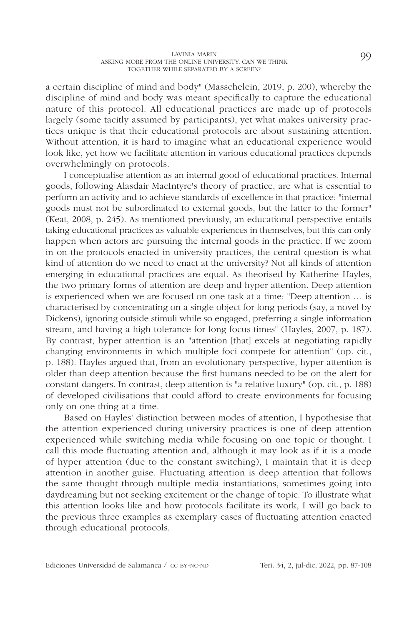a certain discipline of mind and body" (Masschelein, 2019, p. 200), whereby the discipline of mind and body was meant specifically to capture the educational nature of this protocol. All educational practices are made up of protocols largely (some tacitly assumed by participants), yet what makes university practices unique is that their educational protocols are about sustaining attention. Without attention, it is hard to imagine what an educational experience would look like, yet how we facilitate attention in various educational practices depends overwhelmingly on protocols.

I conceptualise attention as an internal good of educational practices. Internal goods, following Alasdair MacIntyre's theory of practice, are what is essential to perform an activity and to achieve standards of excellence in that practice: "internal goods must not be subordinated to external goods, but the latter to the former" (Keat, 2008, p. 245). As mentioned previously, an educational perspective entails taking educational practices as valuable experiences in themselves, but this can only happen when actors are pursuing the internal goods in the practice. If we zoom in on the protocols enacted in university practices, the central question is what kind of attention do we need to enact at the university? Not all kinds of attention emerging in educational practices are equal. As theorised by Katherine Hayles, the two primary forms of attention are deep and hyper attention. Deep attention is experienced when we are focused on one task at a time: "Deep attention … is characterised by concentrating on a single object for long periods (say, a novel by Dickens), ignoring outside stimuli while so engaged, preferring a single information stream, and having a high tolerance for long focus times" (Hayles, 2007, p. 187). By contrast, hyper attention is an "attention [that] excels at negotiating rapidly changing environments in which multiple foci compete for attention" (op. cit., p. 188). Hayles argued that, from an evolutionary perspective, hyper attention is older than deep attention because the first humans needed to be on the alert for constant dangers. In contrast, deep attention is "a relative luxury" (op. cit., p. 188) of developed civilisations that could afford to create environments for focusing only on one thing at a time.

Based on Hayles' distinction between modes of attention, I hypothesise that the attention experienced during university practices is one of deep attention experienced while switching media while focusing on one topic or thought. I call this mode fluctuating attention and, although it may look as if it is a mode of hyper attention (due to the constant switching), I maintain that it is deep attention in another guise. Fluctuating attention is deep attention that follows the same thought through multiple media instantiations, sometimes going into daydreaming but not seeking excitement or the change of topic. To illustrate what this attention looks like and how protocols facilitate its work, I will go back to the previous three examples as exemplary cases of fluctuating attention enacted through educational protocols.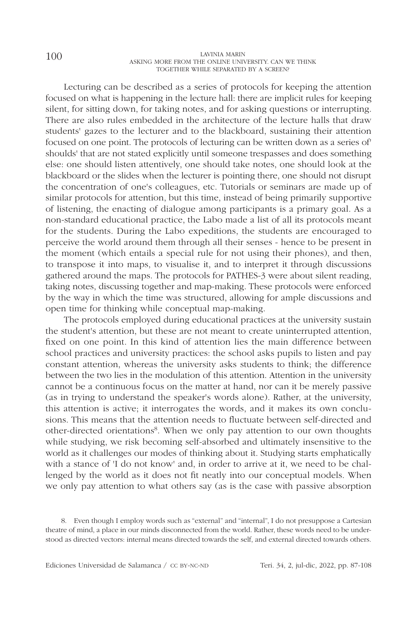Lecturing can be described as a series of protocols for keeping the attention focused on what is happening in the lecture hall: there are implicit rules for keeping silent, for sitting down, for taking notes, and for asking questions or interrupting. There are also rules embedded in the architecture of the lecture halls that draw students' gazes to the lecturer and to the blackboard, sustaining their attention focused on one point. The protocols of lecturing can be written down as a series of' shoulds' that are not stated explicitly until someone trespasses and does something else: one should listen attentively, one should take notes, one should look at the blackboard or the slides when the lecturer is pointing there, one should not disrupt the concentration of one's colleagues, etc. Tutorials or seminars are made up of similar protocols for attention, but this time, instead of being primarily supportive of listening, the enacting of dialogue among participants is a primary goal. As a non-standard educational practice, the Labo made a list of all its protocols meant for the students. During the Labo expeditions, the students are encouraged to perceive the world around them through all their senses - hence to be present in the moment (which entails a special rule for not using their phones), and then, to transpose it into maps, to visualise it, and to interpret it through discussions gathered around the maps. The protocols for PATHES-3 were about silent reading, taking notes, discussing together and map-making. These protocols were enforced by the way in which the time was structured, allowing for ample discussions and open time for thinking while conceptual map-making.

The protocols employed during educational practices at the university sustain the student's attention, but these are not meant to create uninterrupted attention, fixed on one point. In this kind of attention lies the main difference between school practices and university practices: the school asks pupils to listen and pay constant attention, whereas the university asks students to think; the difference between the two lies in the modulation of this attention. Attention in the university cannot be a continuous focus on the matter at hand, nor can it be merely passive (as in trying to understand the speaker's words alone). Rather, at the university, this attention is active; it interrogates the words, and it makes its own conclusions. This means that the attention needs to fluctuate between self-directed and other-directed orientations8. When we only pay attention to our own thoughts while studying, we risk becoming self-absorbed and ultimately insensitive to the world as it challenges our modes of thinking about it. Studying starts emphatically with a stance of 'I do not know' and, in order to arrive at it, we need to be challenged by the world as it does not fit neatly into our conceptual models. When we only pay attention to what others say (as is the case with passive absorption

8. Even though I employ words such as "external" and "internal", I do not presuppose a Cartesian theatre of mind, a place in our minds disconnected from the world. Rather, these words need to be understood as directed vectors: internal means directed towards the self, and external directed towards others.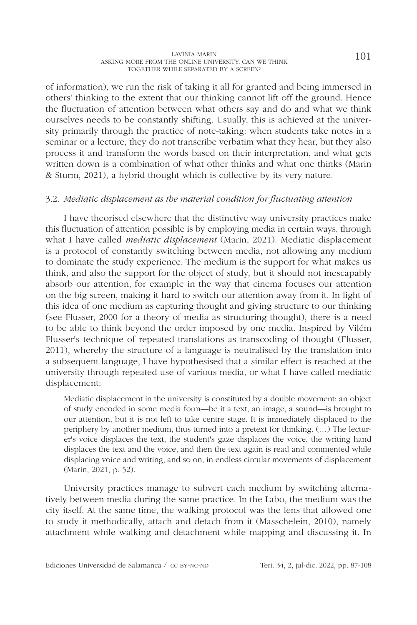of information), we run the risk of taking it all for granted and being immersed in others' thinking to the extent that our thinking cannot lift off the ground. Hence the fluctuation of attention between what others say and do and what we think ourselves needs to be constantly shifting. Usually, this is achieved at the university primarily through the practice of note-taking: when students take notes in a seminar or a lecture, they do not transcribe verbatim what they hear, but they also process it and transform the words based on their interpretation, and what gets written down is a combination of what other thinks and what one thinks (Marin & Sturm, 2021), a hybrid thought which is collective by its very nature.

# 3.2. *Mediatic displacement as the material condition for fluctuating attention*

I have theorised elsewhere that the distinctive way university practices make this fluctuation of attention possible is by employing media in certain ways, through what I have called *mediatic displacement* (Marin, 2021). Mediatic displacement is a protocol of constantly switching between media, not allowing any medium to dominate the study experience. The medium is the support for what makes us think, and also the support for the object of study, but it should not inescapably absorb our attention, for example in the way that cinema focuses our attention on the big screen, making it hard to switch our attention away from it. In light of this idea of one medium as capturing thought and giving structure to our thinking (see Flusser, 2000 for a theory of media as structuring thought), there is a need to be able to think beyond the order imposed by one media. Inspired by Vilém Flusser's technique of repeated translations as transcoding of thought (Flusser, 2011), whereby the structure of a language is neutralised by the translation into a subsequent language, I have hypothesised that a similar effect is reached at the university through repeated use of various media, or what I have called mediatic displacement:

Mediatic displacement in the university is constituted by a double movement: an object of study encoded in some media form—be it a text, an image, a sound—is brought to our attention, but it is not left to take centre stage. It is immediately displaced to the periphery by another medium, thus turned into a pretext for thinking. (…) The lecturer's voice displaces the text, the student's gaze displaces the voice, the writing hand displaces the text and the voice, and then the text again is read and commented while displacing voice and writing, and so on, in endless circular movements of displacement (Marin, 2021, p. 52).

University practices manage to subvert each medium by switching alternatively between media during the same practice. In the Labo, the medium was the city itself. At the same time, the walking protocol was the lens that allowed one to study it methodically, attach and detach from it (Masschelein, 2010), namely attachment while walking and detachment while mapping and discussing it. In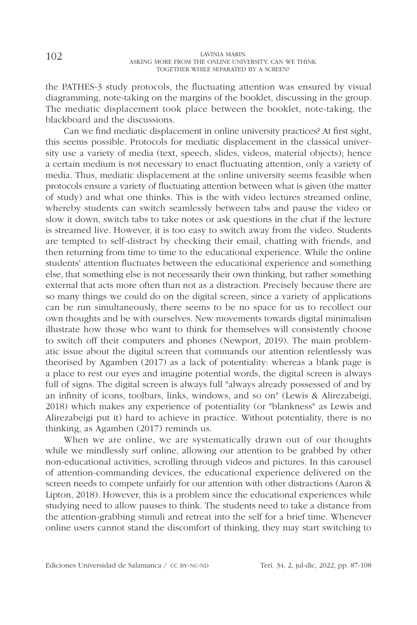the PATHES-3 study protocols, the fluctuating attention was ensured by visual diagramming, note-taking on the margins of the booklet, discussing in the group. The mediatic displacement took place between the booklet, note-taking, the blackboard and the discussions.

Can we find mediatic displacement in online university practices? At first sight, this seems possible. Protocols for mediatic displacement in the classical university use a variety of media (text, speech, slides, videos, material objects); hence a certain medium is not necessary to enact fluctuating attention, only a variety of media. Thus, mediatic displacement at the online university seems feasible when protocols ensure a variety of fluctuating attention between what is given (the matter of study) and what one thinks. This is the with video lectures streamed online, whereby students can switch seamlessly between tabs and pause the video or slow it down, switch tabs to take notes or ask questions in the chat if the lecture is streamed live. However, it is too easy to switch away from the video. Students are tempted to self-distract by checking their email, chatting with friends, and then returning from time to time to the educational experience. While the online students' attention fluctuates between the educational experience and something else, that something else is not necessarily their own thinking, but rather something external that acts more often than not as a distraction. Precisely because there are so many things we could do on the digital screen, since a variety of applications can be run simultaneously, there seems to be no space for us to recollect our own thoughts and be with ourselves. New movements towards digital minimalism illustrate how those who want to think for themselves will consistently choose to switch off their computers and phones (Newport, 2019). The main problematic issue about the digital screen that commands our attention relentlessly was theorised by Agamben (2017) as a lack of potentiality: whereas a blank page is a place to rest our eyes and imagine potential words, the digital screen is always full of signs. The digital screen is always full "always already possessed of and by an infinity of icons, toolbars, links, windows, and so on" (Lewis & Alirezabeigi, 2018) which makes any experience of potentiality (or "blankness" as Lewis and Alirezabeigi put it) hard to achieve in practice. Without potentiality, there is no thinking, as Agamben (2017) reminds us.

When we are online, we are systematically drawn out of our thoughts while we mindlessly surf online, allowing our attention to be grabbed by other non-educational activities, scrolling through videos and pictures. In this carousel of attention-commanding devices, the educational experience delivered on the screen needs to compete unfairly for our attention with other distractions (Aaron & Lipton, 2018). However, this is a problem since the educational experiences while studying need to allow pauses to think. The students need to take a distance from the attention-grabbing stimuli and retreat into the self for a brief time. Whenever online users cannot stand the discomfort of thinking, they may start switching to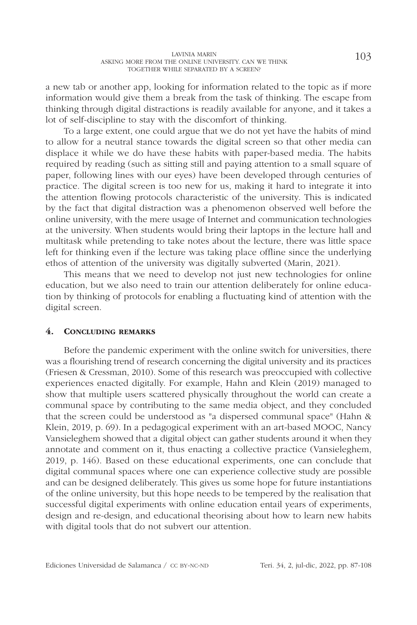a new tab or another app, looking for information related to the topic as if more information would give them a break from the task of thinking. The escape from thinking through digital distractions is readily available for anyone, and it takes a lot of self-discipline to stay with the discomfort of thinking.

To a large extent, one could argue that we do not yet have the habits of mind to allow for a neutral stance towards the digital screen so that other media can displace it while we do have these habits with paper-based media. The habits required by reading (such as sitting still and paying attention to a small square of paper, following lines with our eyes) have been developed through centuries of practice. The digital screen is too new for us, making it hard to integrate it into the attention flowing protocols characteristic of the university. This is indicated by the fact that digital distraction was a phenomenon observed well before the online university, with the mere usage of Internet and communication technologies at the university. When students would bring their laptops in the lecture hall and multitask while pretending to take notes about the lecture, there was little space left for thinking even if the lecture was taking place offline since the underlying ethos of attention of the university was digitally subverted (Marin, 2021).

This means that we need to develop not just new technologies for online education, but we also need to train our attention deliberately for online education by thinking of protocols for enabling a fluctuating kind of attention with the digital screen.

# 4. Concluding remarks

Before the pandemic experiment with the online switch for universities, there was a flourishing trend of research concerning the digital university and its practices (Friesen & Cressman, 2010). Some of this research was preoccupied with collective experiences enacted digitally. For example, Hahn and Klein (2019) managed to show that multiple users scattered physically throughout the world can create a communal space by contributing to the same media object, and they concluded that the screen could be understood as "a dispersed communal space" (Hahn & Klein, 2019, p. 69). In a pedagogical experiment with an art-based MOOC, Nancy Vansieleghem showed that a digital object can gather students around it when they annotate and comment on it, thus enacting a collective practice (Vansieleghem, 2019, p. 146). Based on these educational experiments, one can conclude that digital communal spaces where one can experience collective study are possible and can be designed deliberately. This gives us some hope for future instantiations of the online university, but this hope needs to be tempered by the realisation that successful digital experiments with online education entail years of experiments, design and re-design, and educational theorising about how to learn new habits with digital tools that do not subvert our attention.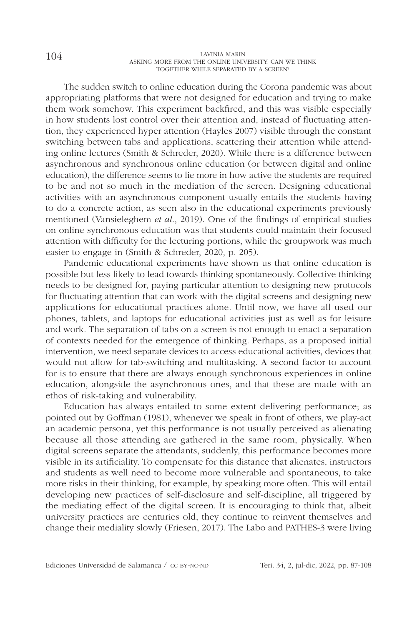The sudden switch to online education during the Corona pandemic was about appropriating platforms that were not designed for education and trying to make them work somehow. This experiment backfired, and this was visible especially in how students lost control over their attention and, instead of fluctuating attention, they experienced hyper attention (Hayles 2007) visible through the constant switching between tabs and applications, scattering their attention while attending online lectures (Smith & Schreder, 2020). While there is a difference between asynchronous and synchronous online education (or between digital and online education), the difference seems to lie more in how active the students are required to be and not so much in the mediation of the screen. Designing educational activities with an asynchronous component usually entails the students having to do a concrete action, as seen also in the educational experiments previously mentioned (Vansieleghem *et al*., 2019). One of the findings of empirical studies on online synchronous education was that students could maintain their focused attention with difficulty for the lecturing portions, while the groupwork was much easier to engage in (Smith & Schreder, 2020, p. 205).

Pandemic educational experiments have shown us that online education is possible but less likely to lead towards thinking spontaneously. Collective thinking needs to be designed for, paying particular attention to designing new protocols for fluctuating attention that can work with the digital screens and designing new applications for educational practices alone. Until now, we have all used our phones, tablets, and laptops for educational activities just as well as for leisure and work. The separation of tabs on a screen is not enough to enact a separation of contexts needed for the emergence of thinking. Perhaps, as a proposed initial intervention, we need separate devices to access educational activities, devices that would not allow for tab-switching and multitasking. A second factor to account for is to ensure that there are always enough synchronous experiences in online education, alongside the asynchronous ones, and that these are made with an ethos of risk-taking and vulnerability.

Education has always entailed to some extent delivering performance; as pointed out by Goffman (1981), whenever we speak in front of others, we play-act an academic persona, yet this performance is not usually perceived as alienating because all those attending are gathered in the same room, physically. When digital screens separate the attendants, suddenly, this performance becomes more visible in its artificiality. To compensate for this distance that alienates, instructors and students as well need to become more vulnerable and spontaneous, to take more risks in their thinking, for example, by speaking more often. This will entail developing new practices of self-disclosure and self-discipline, all triggered by the mediating effect of the digital screen. It is encouraging to think that, albeit university practices are centuries old, they continue to reinvent themselves and change their mediality slowly (Friesen, 2017). The Labo and PATHES-3 were living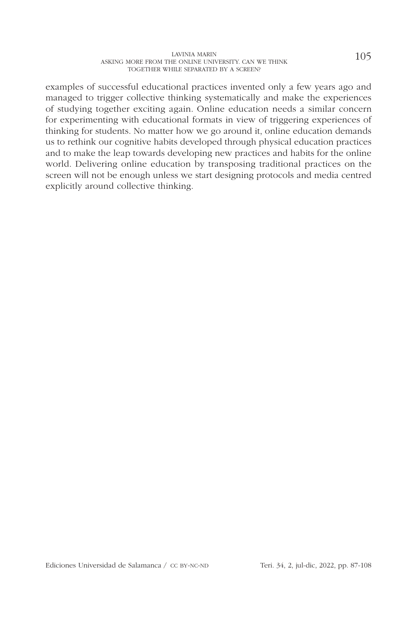examples of successful educational practices invented only a few years ago and managed to trigger collective thinking systematically and make the experiences of studying together exciting again. Online education needs a similar concern for experimenting with educational formats in view of triggering experiences of thinking for students. No matter how we go around it, online education demands us to rethink our cognitive habits developed through physical education practices and to make the leap towards developing new practices and habits for the online world. Delivering online education by transposing traditional practices on the screen will not be enough unless we start designing protocols and media centred explicitly around collective thinking.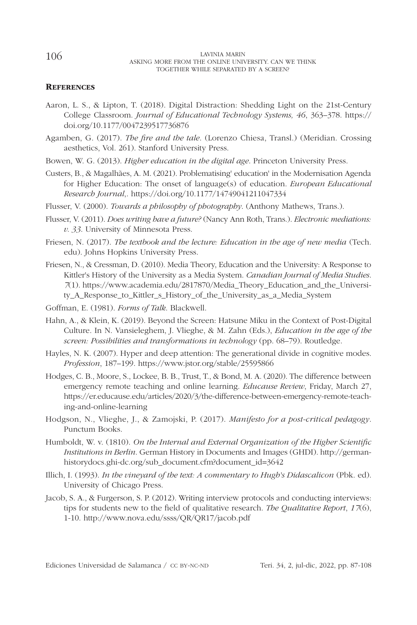### **REFERENCES**

- Aaron, L. S., & Lipton, T. (2018). Digital Distraction: Shedding Light on the 21st-Century College Classroom. *Journal of Educational Technology Systems, 46*, 363–378. [https://](https://doi.org/10.1177/0047239517736876) [doi.org/10.1177/0047239517736876](https://doi.org/10.1177/0047239517736876)
- Agamben, G. (2017). *The fire and the tale*. (Lorenzo Chiesa, Transl.) (Meridian. Crossing aesthetics, Vol. 261). Stanford University Press.
- Bowen, W. G. (2013). *Higher education in the digital age*. Princeton University Press.
- Custers, B., & Magalhães, A. M. (2021). Problematising' education' in the Modernisation Agenda for Higher Education: The onset of language(s) of education. *European Educational Research Journal*,.<https://doi.org/10.1177/14749041211047334>
- Flusser, V. (2000). *Towards a philosophy of photography*. (Anthony Mathews, Trans.).
- Flusser, V. (2011). *Does writing have a future?* (Nancy Ann Roth, Trans.). *Electronic mediations: v. 33*. University of Minnesota Press.
- Friesen, N. (2017). *The textbook and the lecture: Education in the age of new media* (Tech. edu). Johns Hopkins University Press.
- Friesen, N., & Cressman, D. (2010). Media Theory, Education and the University: A Response to Kittler's History of the University as a Media System. *Canadian Journal of Media Studies*. *7*(1). [https://www.academia.edu/2817870/Media\\_Theory\\_Education\\_and\\_the\\_Universi](https://www.academia.edu/2817870/Media_Theory_Education_and_the_University_A_Response_to_Kittler_s_History_of_the_University_as_a_Media_System)[ty\\_A\\_Response\\_to\\_Kittler\\_s\\_History\\_of\\_the\\_University\\_as\\_a\\_Media\\_System](https://www.academia.edu/2817870/Media_Theory_Education_and_the_University_A_Response_to_Kittler_s_History_of_the_University_as_a_Media_System)
- Goffman, E. (1981). *Forms of Talk*. Blackwell.
- Hahn, A., & Klein, K. (2019). Beyond the Screen: Hatsune Miku in the Context of Post-Digital Culture. In N. Vansieleghem, J. Vlieghe, & M. Zahn (Eds.), *Education in the age of the screen: Possibilities and transformations in technology* (pp. 68–79). Routledge.
- Hayles, N. K. (2007). Hyper and deep attention: The generational divide in cognitive modes. *Profession*, 187–199.<https://www.jstor.org/stable/25595866>
- Hodges, C. B., Moore, S., Lockee, B. B., Trust, T., & Bond, M. A. (2020). The difference between emergency remote teaching and online learning. *Educause Review*, Friday, March 27, [https://er.educause.edu/articles/2020/3/the-difference-between-emergency-remote-teach](https://er.educause.edu/articles/2020/3/the-difference-between-emergency-remote-teaching-and-online-learning)[ing-and-online-learning](https://er.educause.edu/articles/2020/3/the-difference-between-emergency-remote-teaching-and-online-learning)
- Hodgson, N., Vlieghe, J., & Zamojski, P. (2017). *Manifesto for a post-critical pedagogy*. Punctum Books.
- Humboldt, W. v. (1810). *On the Internal and External Organization of the Higher Scientific Institutions in Berlin*. German History in Documents and Images (GHDI). [http://german](http://germanhistorydocs.ghi-dc.org/sub_document.cfm?document_id=3642)[historydocs.ghi-dc.org/sub\\_document.cfm?document\\_id=3642](http://germanhistorydocs.ghi-dc.org/sub_document.cfm?document_id=3642)
- Illich, I. (1993). *In the vineyard of the text: A commentary to Hugh's Didascalicon* (Pbk. ed). University of Chicago Press.
- Jacob, S. A., & Furgerson, S. P. (2012). Writing interview protocols and conducting interviews: tips for students new to the field of qualitative research. *The Qualitative Report*, *17*(6), 1-10. <http://www.nova.edu/ssss/QR/QR17/jacob.pdf>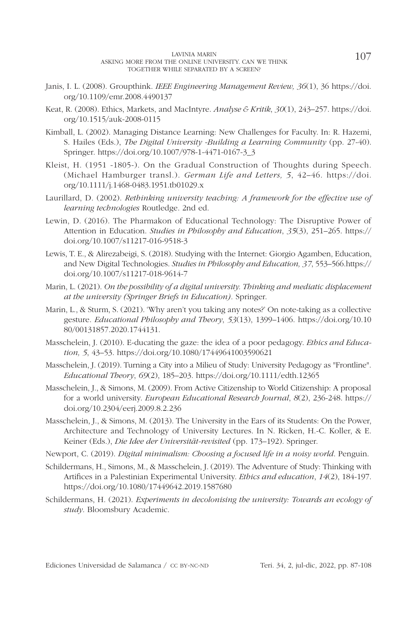- Janis, I. L. (2008). Groupthink. *IEEE Engineering Management Review, 36*(1), 36 [https://doi.](https://doi.org/10.1109/emr.2008.4490137) [org/10.1109/emr.2008.4490137](https://doi.org/10.1109/emr.2008.4490137)
- Keat, R. (2008). Ethics, Markets, and MacIntyre. *Analyse & Kritik*, *30*(1), 243–257. [https://doi.](https://doi.org/10.1515/auk-2008-0115) [org/10.1515/auk-2008-0115](https://doi.org/10.1515/auk-2008-0115)
- Kimball, L. (2002). Managing Distance Learning: New Challenges for Faculty. In: R. Hazemi, S. Hailes (Eds.), *The Digital University -Building a Learning Community* (pp. 27-40). Springer. [https://doi.org/10.1007/978-1-4471-0167-3\\_3](https://doi.org/10.1007/978-1-4471-0167-3_3)
- Kleist, H. (1951 -1805-). On the Gradual Construction of Thoughts during Speech. (Michael Hamburger transl.). *German Life and Letters, 5*, 42–46. [https://doi.](https://doi.org/10.1111/j.1468-0483.1951.tb01029.x) [org/10.1111/j.1468-0483.1951.tb01029.x](https://doi.org/10.1111/j.1468-0483.1951.tb01029.x)
- Laurillard, D. (2002). *Rethinking university teaching: A framework for the effective use of learning technologies* Routledge. 2nd ed.
- Lewin, D. (2016). The Pharmakon of Educational Technology: The Disruptive Power of Attention in Education. *Studies in Philosophy and Education*, *35*(3), 251–265. [https://](https://doi.org/10.1007/s11217-016-9518-3) [doi.org/10.1007/s11217-016-9518-3](https://doi.org/10.1007/s11217-016-9518-3)
- Lewis, T. E., & Alirezabeigi, S. (2018). Studying with the Internet: Giorgio Agamben, Education, and New Digital Technologies. *Studies in Philosophy and Education, 37*, 553–566[.https://](https://doi.org/10.1007/s11217-018-9614-7) [doi.org/10.1007/s11217-018-9614-7](https://doi.org/10.1007/s11217-018-9614-7)
- Marin, L. (2021). *On the possibility of a digital university. Thinking and mediatic displacement at the university (Springer Briefs in Education).* Springer.
- Marin, L., & Sturm, S. (2021). 'Why aren't you taking any notes?' On note-taking as a collective gesture. *Educational Philosophy and Theory*, *53*(13), 1399–1406. [https://doi.org/10.10](https://doi.org/10.1080/00131857.2020.1744131) [80/00131857.2020.1744131](https://doi.org/10.1080/00131857.2020.1744131).
- Masschelein, J. (2010). E-ducating the gaze: the idea of a poor pedagogy. *Ethics and Education, 5*, 43–53.<https://doi.org/10.1080/17449641003590621>
- Masschelein, J. (2019). Turning a City into a Milieu of Study: University Pedagogy as "Frontline". *Educational Theory*, *69*(2), 185–203.<https://doi.org/10.1111/edth.12365>
- Masschelein, J., & Simons, M. (2009). From Active Citizenship to World Citizenship: A proposal for a world university. *European Educational Research Journal*, *8*(2), 236-248. [https://](https://doi.org/10.2304/eerj.2009.8.2.236) [doi.org/10.2304/eerj.2009.8.2.236](https://doi.org/10.2304/eerj.2009.8.2.236)
- Masschelein, J., & Simons, M. (2013). The University in the Ears of its Students: On the Power, Architecture and Technology of University Lectures. In N. Ricken, H.-C. Koller, & E. Keiner (Eds.), *Die Idee der Universität-revisited* (pp. 173–192). Springer.
- Newport, C. (2019). *Digital minimalism: Choosing a focused life in a noisy world*. Penguin.
- Schildermans, H., Simons, M., & Masschelein, J. (2019). The Adventure of Study: Thinking with Artifices in a Palestinian Experimental University. *Ethics and education*, *14*(2), 184-197. <https://doi.org/10.1080/17449642.2019.1587680>
- Schildermans, H. (2021). *Experiments in decolonising the university: Towards an ecology of study*. Bloomsbury Academic.